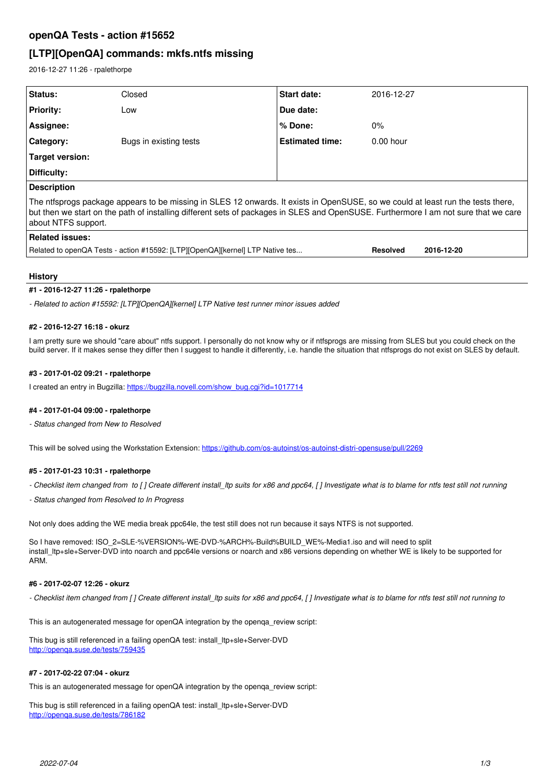# **openQA Tests - action #15652**

# **[LTP][OpenQA] commands: mkfs.ntfs missing**

2016-12-27 11:26 - rpalethorpe

| Status:                                                                                                                                                                                                                                                                                        | Closed                 | <b>Start date:</b>     | 2016-12-27      |            |
|------------------------------------------------------------------------------------------------------------------------------------------------------------------------------------------------------------------------------------------------------------------------------------------------|------------------------|------------------------|-----------------|------------|
| <b>Priority:</b>                                                                                                                                                                                                                                                                               | Low                    | Due date:              |                 |            |
| Assignee:                                                                                                                                                                                                                                                                                      |                        | $%$ Done:              | $0\%$           |            |
| Category:                                                                                                                                                                                                                                                                                      | Bugs in existing tests | <b>Estimated time:</b> | $0.00$ hour     |            |
| Target version:                                                                                                                                                                                                                                                                                |                        |                        |                 |            |
| Difficulty:                                                                                                                                                                                                                                                                                    |                        |                        |                 |            |
| <b>Description</b>                                                                                                                                                                                                                                                                             |                        |                        |                 |            |
| The ntfsprogs package appears to be missing in SLES 12 onwards. It exists in OpenSUSE, so we could at least run the tests there,<br>but then we start on the path of installing different sets of packages in SLES and OpenSUSE. Furthermore I am not sure that we care<br>about NTFS support. |                        |                        |                 |            |
| <b>Related issues:</b>                                                                                                                                                                                                                                                                         |                        |                        |                 |            |
| Related to openQA Tests - action #15592: [LTP][OpenQA][kernel] LTP Native tes                                                                                                                                                                                                                  |                        |                        | <b>Resolved</b> | 2016-12-20 |
|                                                                                                                                                                                                                                                                                                |                        |                        |                 |            |

# **History**

### **#1 - 2016-12-27 11:26 - rpalethorpe**

*- Related to action #15592: [LTP][OpenQA][kernel] LTP Native test runner minor issues added*

### **#2 - 2016-12-27 16:18 - okurz**

I am pretty sure we should "care about" ntfs support. I personally do not know why or if ntfsprogs are missing from SLES but you could check on the build server. If it makes sense they differ then I suggest to handle it differently, i.e. handle the situation that ntfsprogs do not exist on SLES by default.

# **#3 - 2017-01-02 09:21 - rpalethorpe**

I created an entry in Bugzilla: [https://bugzilla.novell.com/show\\_bug.cgi?id=1017714](https://bugzilla.novell.com/show_bug.cgi?id=1017714)

# **#4 - 2017-01-04 09:00 - rpalethorpe**

*- Status changed from New to Resolved*

This will be solved using the Workstation Extension:<https://github.com/os-autoinst/os-autoinst-distri-opensuse/pull/2269>

# **#5 - 2017-01-23 10:31 - rpalethorpe**

*- Checklist item changed from to [ ] Create different install\_ltp suits for x86 and ppc64, [ ] Investigate what is to blame for ntfs test still not running*

*- Status changed from Resolved to In Progress*

Not only does adding the WE media break ppc64le, the test still does not run because it says NTFS is not supported.

So I have removed: ISO\_2=SLE-%VERSION%-WE-DVD-%ARCH%-Build%BUILD\_WE%-Media1.iso and will need to split install\_ltp+sle+Server-DVD into noarch and ppc64le versions or noarch and x86 versions depending on whether WE is likely to be supported for ARM.

#### **#6 - 2017-02-07 12:26 - okurz**

*- Checklist item changed from [ ] Create different install\_ltp suits for x86 and ppc64, [ ] Investigate what is to blame for ntfs test still not running to* 

This is an autogenerated message for openQA integration by the openqa\_review script:

This bug is still referenced in a failing openQA test: install\_ltp+sle+Server-DVD <http://openqa.suse.de/tests/759435>

#### **#7 - 2017-02-22 07:04 - okurz**

This is an autogenerated message for openQA integration by the openqa\_review script:

This bug is still referenced in a failing openQA test: install\_ltp+sle+Server-DVD <http://openqa.suse.de/tests/786182>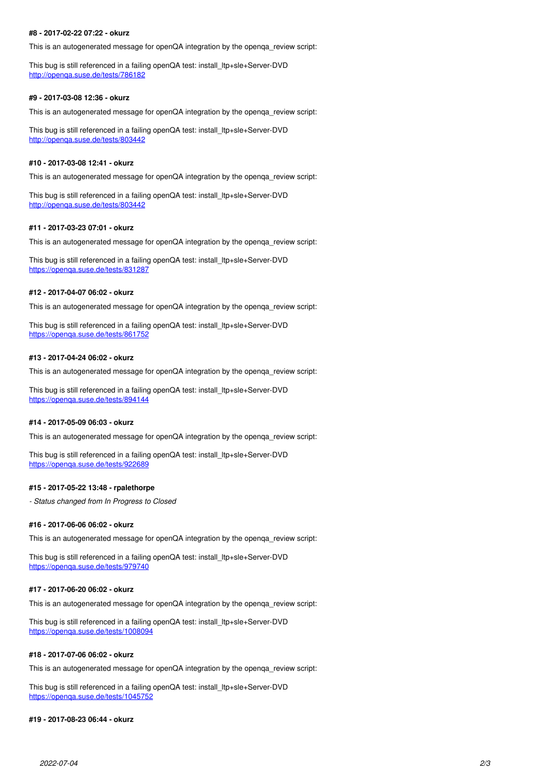### **#8 - 2017-02-22 07:22 - okurz**

This is an autogenerated message for openQA integration by the openqa\_review script:

This bug is still referenced in a failing openQA test: install\_ltp+sle+Server-DVD <http://openqa.suse.de/tests/786182>

### **#9 - 2017-03-08 12:36 - okurz**

This is an autogenerated message for openQA integration by the openqa\_review script:

This bug is still referenced in a failing openQA test: install\_ltp+sle+Server-DVD <http://openqa.suse.de/tests/803442>

### **#10 - 2017-03-08 12:41 - okurz**

This is an autogenerated message for openQA integration by the openqa\_review script:

This bug is still referenced in a failing openQA test: install\_ltp+sle+Server-DVD <http://openqa.suse.de/tests/803442>

### **#11 - 2017-03-23 07:01 - okurz**

This is an autogenerated message for openQA integration by the openqa\_review script:

This bug is still referenced in a failing openQA test: install\_ltp+sle+Server-DVD <https://openqa.suse.de/tests/831287>

# **#12 - 2017-04-07 06:02 - okurz**

This is an autogenerated message for openQA integration by the openqa\_review script:

This bug is still referenced in a failing openQA test: install\_ltp+sle+Server-DVD <https://openqa.suse.de/tests/861752>

#### **#13 - 2017-04-24 06:02 - okurz**

This is an autogenerated message for openQA integration by the openqa\_review script:

This bug is still referenced in a failing openQA test: install\_ltp+sle+Server-DVD <https://openqa.suse.de/tests/894144>

## **#14 - 2017-05-09 06:03 - okurz**

This is an autogenerated message for openQA integration by the openqa\_review script:

This bug is still referenced in a failing openQA test: install\_ltp+sle+Server-DVD <https://openqa.suse.de/tests/922689>

#### **#15 - 2017-05-22 13:48 - rpalethorpe**

*- Status changed from In Progress to Closed*

#### **#16 - 2017-06-06 06:02 - okurz**

This is an autogenerated message for openQA integration by the openqa\_review script:

This bug is still referenced in a failing openQA test: install\_ltp+sle+Server-DVD <https://openqa.suse.de/tests/979740>

#### **#17 - 2017-06-20 06:02 - okurz**

This is an autogenerated message for openQA integration by the openqa\_review script:

This bug is still referenced in a failing openQA test: install\_ltp+sle+Server-DVD <https://openqa.suse.de/tests/1008094>

#### **#18 - 2017-07-06 06:02 - okurz**

This is an autogenerated message for openQA integration by the openqa\_review script:

This bug is still referenced in a failing openQA test: install\_ltp+sle+Server-DVD <https://openqa.suse.de/tests/1045752>

# **#19 - 2017-08-23 06:44 - okurz**